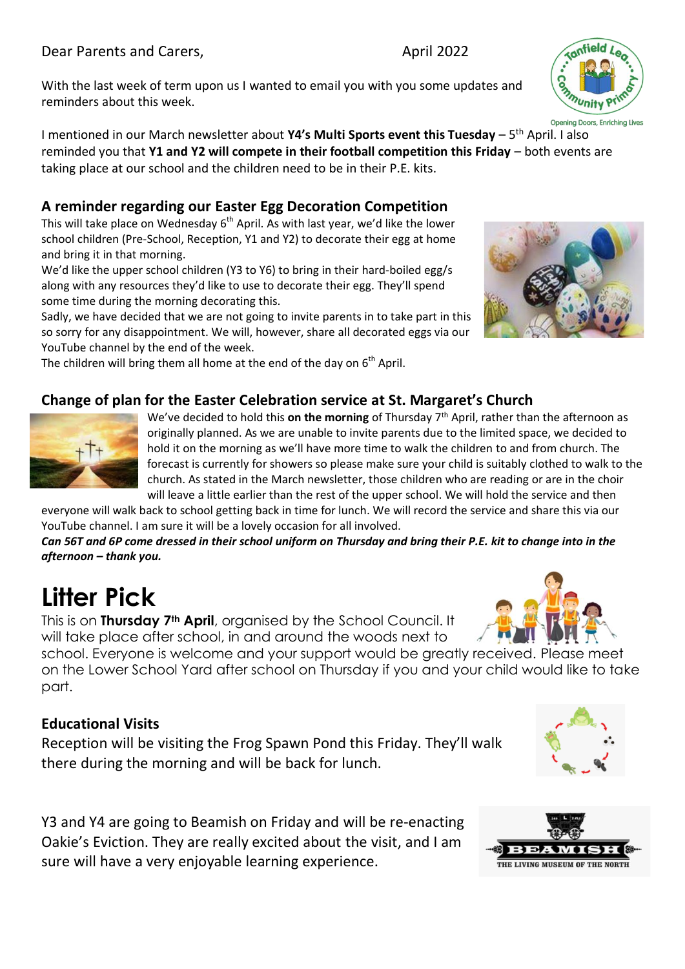#### Dear Parents and Carers, The Case of the April 2022

With the last week of term upon us I wanted to email you with you some updates and reminders about this week.

I mentioned in our March newsletter about **Y4's Multi Sports event this Tuesday** – 5<sup>th</sup> April. I also reminded you that **Y1 and Y2 will compete in their football competition this Friday** – both events are taking place at our school and the children need to be in their P.E. kits.

#### **A reminder regarding our Easter Egg Decoration Competition**

This will take place on Wednesday  $6<sup>th</sup>$  April. As with last year, we'd like the lower school children (Pre-School, Reception, Y1 and Y2) to decorate their egg at home and bring it in that morning.

We'd like the upper school children (Y3 to Y6) to bring in their hard-boiled egg/s along with any resources they'd like to use to decorate their egg. They'll spend some time during the morning decorating this.

Sadly, we have decided that we are not going to invite parents in to take part in this so sorry for any disappointment. We will, however, share all decorated eggs via our YouTube channel by the end of the week.

The children will bring them all home at the end of the day on  $6<sup>th</sup>$  April.

## **Change of plan for the Easter Celebration service at St. Margaret's Church**

We've decided to hold this on the morning of Thursday 7<sup>th</sup> April, rather than the afternoon as originally planned. As we are unable to invite parents due to the limited space, we decided to hold it on the morning as we'll have more time to walk the children to and from church. The forecast is currently for showers so please make sure your child is suitably clothed to walk to the church. As stated in the March newsletter, those children who are reading or are in the choir will leave a little earlier than the rest of the upper school. We will hold the service and then

everyone will walk back to school getting back in time for lunch. We will record the service and share this via our YouTube channel. I am sure it will be a lovely occasion for all involved.

*Can 56T and 6P come dressed in their school uniform on Thursday and bring their P.E. kit to change into in the afternoon – thank you.*

# **Litter Pick**

This is on **Thursday 7th April**, organised by the School Council. It will take place after school, in and around the woods next to

school. Everyone is welcome and your support would be greatly received. Please meet on the Lower School Yard after school on Thursday if you and your child would like to take part.

#### **Educational Visits**

Reception will be visiting the Frog Spawn Pond this Friday. They'll walk there during the morning and will be back for lunch.

Y3 and Y4 are going to Beamish on Friday and will be re-enacting Oakie's Eviction. They are really excited about the visit, and I am sure will have a very enjoyable learning experience.